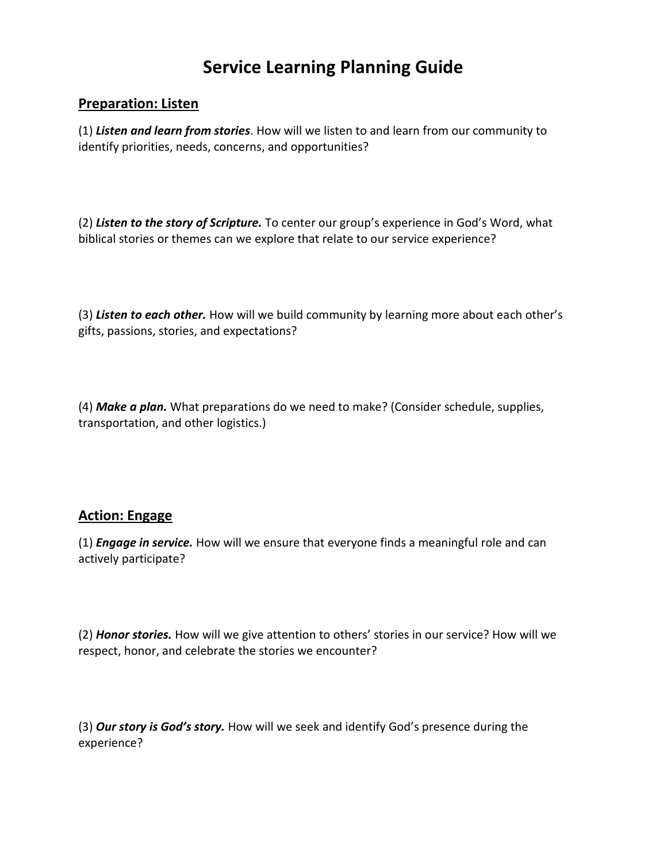# **Service Learning Planning Guide**

#### **Preparation: Listen**

(1) *Listen and learn from stories*. How will we listen to and learn from our community to identify priorities, needs, concerns, and opportunities?

(2) *Listen to the story of Scripture.* To center our group's experience in God's Word, what biblical stories or themes can we explore that relate to our service experience?

(3) *Listen to each other.* How will we build community by learning more about each other's gifts, passions, stories, and expectations?

(4) *Make a plan.* What preparations do we need to make? (Consider schedule, supplies, transportation, and other logistics.)

### **Action: Engage**

(1) *Engage in service.* How will we ensure that everyone finds a meaningful role and can actively participate?

(2) *Honor stories.* How will we give attention to others' stories in our service? How will we respect, honor, and celebrate the stories we encounter?

(3) *Our story is God's story.* How will we seek and identify God's presence during the experience?